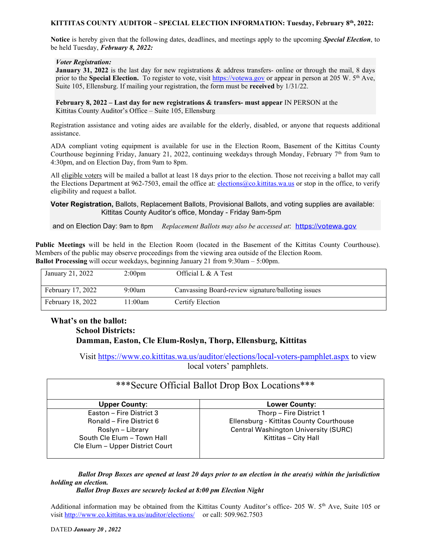### **KITTITAS COUNTY AUDITOR ~ SPECIAL ELECTION INFORMATION: Tuesday, February 8th, 2022:**

**Notice** is hereby given that the following dates, deadlines, and meetings apply to the upcoming *Special Election*, to be held Tuesday, *February 8, 2022:*

#### *Voter Registration:*

**January** 31, 2022 is the last day for new registrations & address transfers- online or through the mail, 8 days prior to the **Special Election.** To register to vote, visit [https://votewa.gov](https://votewa.gov/) or appear in person at 205 W. 5th Ave, Suite 105, Ellensburg. If mailing your registration, the form must be **received** by 1/31/22.

**February 8, 2022 – Last day for new registrations & transfers- must appear** IN PERSON at the Kittitas County Auditor's Office – Suite 105, Ellensburg

Registration assistance and voting aides are available for the elderly, disabled, or anyone that requests additional assistance.

ADA compliant voting equipment is available for use in the Election Room, Basement of the Kittitas County Courthouse beginning Friday, January 21, 2022, continuing weekdays through Monday, February 7<sup>th</sup> from 9am to 4:30pm, and on Election Day, from 9am to 8pm.

All eligible voters will be mailed a ballot at least 18 days prior to the election. Those not receiving a ballot may call the Elections Department at 962-7503, email the office at: [elections@co.kittitas.wa.us](mailto:elections@co.kittitas.wa.us) or stop in the office, to verify eligibility and request a ballot.

### **Voter Registration,** Ballots, Replacement Ballots, Provisional Ballots, and voting supplies are available: Kittitas County Auditor's office, Monday - Friday 9am-5pm

and on Election Day: 9am to 8pm *Replacement Ballots may also be accessed at*: [https://votewa.gov](https://votewa.gov/)

**Public Meetings** will be held in the Election Room (located in the Basement of the Kittitas County Courthouse). Members of the public may observe proceedings from the viewing area outside of the Election Room. **Ballot Processing** will occur weekdays, beginning January 21 from 9:30am – 5:00pm.

| January 21, 2022         | 2:00 <sub>pm</sub> | Official L & A Test                                |
|--------------------------|--------------------|----------------------------------------------------|
| February 17, 2022        | 9:00am             | Canvassing Board-review signature/balloting issues |
| <b>February 18, 2022</b> | l 1:00am           | Certify Election                                   |

## **What's on the ballot: School Districts: Damman, Easton, Cle Elum-Roslyn, Thorp, Ellensburg, Kittitas**

Visit<https://www.co.kittitas.wa.us/auditor/elections/local-voters-pamphlet.aspx> to view local voters' pamphlets.

| *** Secure Official Ballot Drop Box Locations *** |                                             |  |
|---------------------------------------------------|---------------------------------------------|--|
| <b>Upper County:</b>                              | <b>Lower County:</b>                        |  |
| Easton - Fire District 3                          | Thorp - Fire District 1                     |  |
| Ronald - Fire District 6                          | Ellensburg - Kittitas County Courthouse     |  |
| Roslyn – Library                                  | <b>Central Washington University (SURC)</b> |  |
| South Cle Elum - Town Hall                        | Kittitas - City Hall                        |  |
| Cle Elum - Upper District Court                   |                                             |  |

*Ballot Drop Boxes are opened at least 20 days prior to an election in the area(s) within the jurisdiction holding an election.*

*Ballot Drop Boxes are securely locked at 8:00 pm Election Night*

Additional information may be obtained from the Kittitas County Auditor's office- 205 W. 5th Ave, Suite 105 or visi[t http://www.co.kittitas.wa.us/auditor/elections/](http://www.co.kittitas.wa.us/auditor/elections/) or call: 509.962.7503